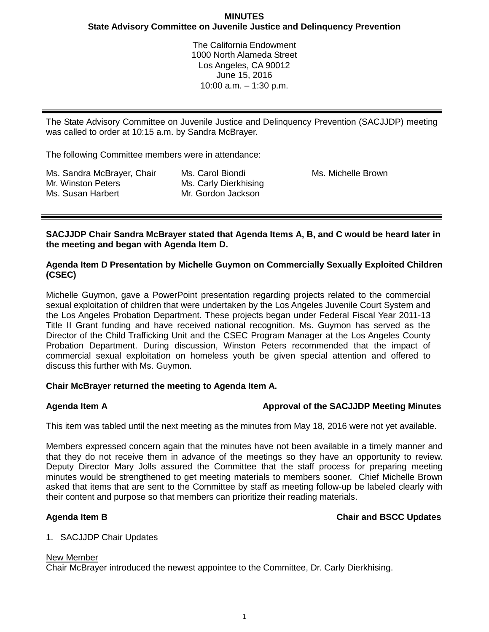The California Endowment 1000 North Alameda Street Los Angeles, CA 90012 June 15, 2016 10:00 a.m. – 1:30 p.m.

The State Advisory Committee on Juvenile Justice and Delinquency Prevention (SACJJDP) meeting was called to order at 10:15 a.m. by Sandra McBrayer.

The following Committee members were in attendance:

| Ms. Sandra McBrayer, Chair |
|----------------------------|
| Mr. Winston Peters         |
| Ms. Susan Harbert          |

Ms. Carol Biondi Ms. Carly Dierkhising Mr. Gordon Jackson

Ms. Michelle Brown

**SACJJDP Chair Sandra McBrayer stated that Agenda Items A, B, and C would be heard later in the meeting and began with Agenda Item D.**

## **Agenda Item D Presentation by Michelle Guymon on Commercially Sexually Exploited Children (CSEC)**

Michelle Guymon, gave a PowerPoint presentation regarding projects related to the commercial sexual exploitation of children that were undertaken by the Los Angeles Juvenile Court System and the Los Angeles Probation Department. These projects began under Federal Fiscal Year 2011-13 Title II Grant funding and have received national recognition. Ms. Guymon has served as the Director of the Child Trafficking Unit and the CSEC Program Manager at the Los Angeles County Probation Department. During discussion, Winston Peters recommended that the impact of commercial sexual exploitation on homeless youth be given special attention and offered to discuss this further with Ms. Guymon.

# **Chair McBrayer returned the meeting to Agenda Item A.**

# **Agenda Item A Approval of the SACJJDP Meeting Minutes**

This item was tabled until the next meeting as the minutes from May 18, 2016 were not yet available.

Members expressed concern again that the minutes have not been available in a timely manner and that they do not receive them in advance of the meetings so they have an opportunity to review. Deputy Director Mary Jolls assured the Committee that the staff process for preparing meeting minutes would be strengthened to get meeting materials to members sooner. Chief Michelle Brown asked that items that are sent to the Committee by staff as meeting follow-up be labeled clearly with their content and purpose so that members can prioritize their reading materials.

# **Agenda Item B Chair and BSCC Updates**

# 1. SACJJDP Chair Updates

## New Member

Chair McBrayer introduced the newest appointee to the Committee, Dr. Carly Dierkhising.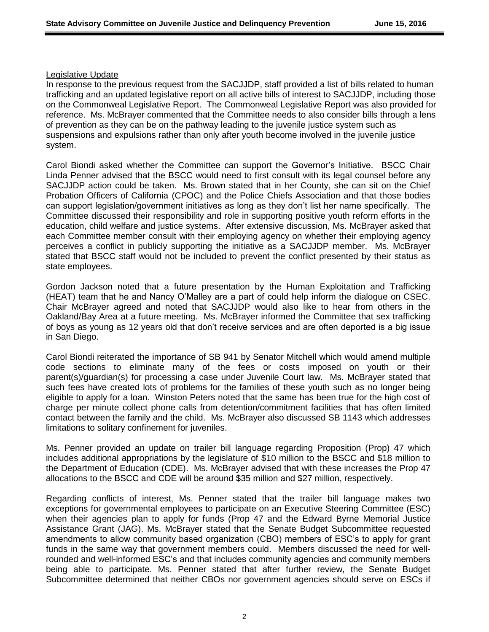### Legislative Update

In response to the previous request from the SACJJDP, staff provided a list of bills related to human trafficking and an updated legislative report on all active bills of interest to SACJJDP, including those on the Commonweal Legislative Report. The Commonweal Legislative Report was also provided for reference. Ms. McBrayer commented that the Committee needs to also consider bills through a lens of prevention as they can be on the pathway leading to the juvenile justice system such as suspensions and expulsions rather than only after youth become involved in the juvenile justice system.

Carol Biondi asked whether the Committee can support the Governor's Initiative. BSCC Chair Linda Penner advised that the BSCC would need to first consult with its legal counsel before any SACJJDP action could be taken. Ms. Brown stated that in her County, she can sit on the Chief Probation Officers of California (CPOC) and the Police Chiefs Association and that those bodies can support legislation/government initiatives as long as they don't list her name specifically. The Committee discussed their responsibility and role in supporting positive youth reform efforts in the education, child welfare and justice systems. After extensive discussion, Ms. McBrayer asked that each Committee member consult with their employing agency on whether their employing agency perceives a conflict in publicly supporting the initiative as a SACJJDP member. Ms. McBrayer stated that BSCC staff would not be included to prevent the conflict presented by their status as state employees.

Gordon Jackson noted that a future presentation by the Human Exploitation and Trafficking (HEAT) team that he and Nancy O'Malley are a part of could help inform the dialogue on CSEC. Chair McBrayer agreed and noted that SACJJDP would also like to hear from others in the Oakland/Bay Area at a future meeting. Ms. McBrayer informed the Committee that sex trafficking of boys as young as 12 years old that don't receive services and are often deported is a big issue in San Diego.

Carol Biondi reiterated the importance of SB 941 by Senator Mitchell which would amend multiple code sections to eliminate many of the fees or costs imposed on youth or their parent(s)/guardian(s) for processing a case under Juvenile Court law. Ms. McBrayer stated that such fees have created lots of problems for the families of these youth such as no longer being eligible to apply for a loan. Winston Peters noted that the same has been true for the high cost of charge per minute collect phone calls from detention/commitment facilities that has often limited contact between the family and the child. Ms. McBrayer also discussed SB 1143 which addresses limitations to solitary confinement for juveniles.

Ms. Penner provided an update on trailer bill language regarding Proposition (Prop) 47 which includes additional appropriations by the legislature of \$10 million to the BSCC and \$18 million to the Department of Education (CDE). Ms. McBrayer advised that with these increases the Prop 47 allocations to the BSCC and CDE will be around \$35 million and \$27 million, respectively.

Regarding conflicts of interest, Ms. Penner stated that the trailer bill language makes two exceptions for governmental employees to participate on an Executive Steering Committee (ESC) when their agencies plan to apply for funds (Prop 47 and the Edward Byrne Memorial Justice Assistance Grant (JAG). Ms. McBrayer stated that the Senate Budget Subcommittee requested amendments to allow community based organization (CBO) members of ESC's to apply for grant funds in the same way that government members could. Members discussed the need for wellrounded and well-informed ESC's and that includes community agencies and community members being able to participate. Ms. Penner stated that after further review, the Senate Budget Subcommittee determined that neither CBOs nor government agencies should serve on ESCs if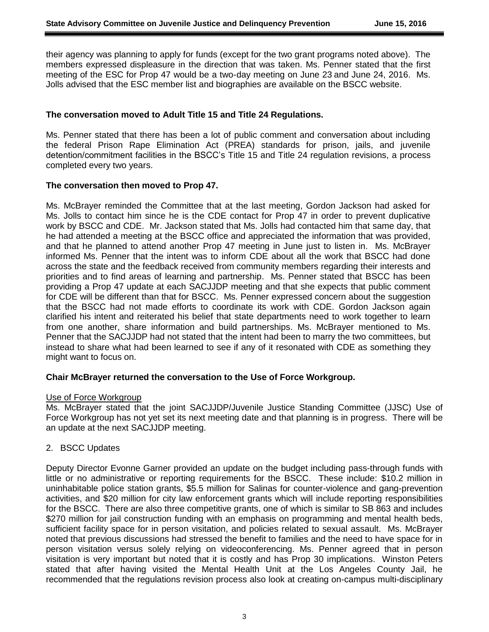their agency was planning to apply for funds (except for the two grant programs noted above). The members expressed displeasure in the direction that was taken. Ms. Penner stated that the first meeting of the ESC for Prop 47 would be a two-day meeting on June 23 and June 24, 2016. Ms. Jolls advised that the ESC member list and biographies are available on the BSCC website.

### **The conversation moved to Adult Title 15 and Title 24 Regulations.**

Ms. Penner stated that there has been a lot of public comment and conversation about including the federal Prison Rape Elimination Act (PREA) standards for prison, jails, and juvenile detention/commitment facilities in the BSCC's Title 15 and Title 24 regulation revisions, a process completed every two years.

### **The conversation then moved to Prop 47.**

Ms. McBrayer reminded the Committee that at the last meeting, Gordon Jackson had asked for Ms. Jolls to contact him since he is the CDE contact for Prop 47 in order to prevent duplicative work by BSCC and CDE. Mr. Jackson stated that Ms. Jolls had contacted him that same day, that he had attended a meeting at the BSCC office and appreciated the information that was provided, and that he planned to attend another Prop 47 meeting in June just to listen in. Ms. McBrayer informed Ms. Penner that the intent was to inform CDE about all the work that BSCC had done across the state and the feedback received from community members regarding their interests and priorities and to find areas of learning and partnership. Ms. Penner stated that BSCC has been providing a Prop 47 update at each SACJJDP meeting and that she expects that public comment for CDE will be different than that for BSCC. Ms. Penner expressed concern about the suggestion that the BSCC had not made efforts to coordinate its work with CDE. Gordon Jackson again clarified his intent and reiterated his belief that state departments need to work together to learn from one another, share information and build partnerships. Ms. McBrayer mentioned to Ms. Penner that the SACJJDP had not stated that the intent had been to marry the two committees, but instead to share what had been learned to see if any of it resonated with CDE as something they might want to focus on.

### **Chair McBrayer returned the conversation to the Use of Force Workgroup.**

### Use of Force Workgroup

Ms. McBrayer stated that the joint SACJJDP/Juvenile Justice Standing Committee (JJSC) Use of Force Workgroup has not yet set its next meeting date and that planning is in progress. There will be an update at the next SACJJDP meeting.

### 2. BSCC Updates

Deputy Director Evonne Garner provided an update on the budget including pass-through funds with little or no administrative or reporting requirements for the BSCC. These include: \$10.2 million in uninhabitable police station grants, \$5.5 million for Salinas for counter-violence and gang-prevention activities, and \$20 million for city law enforcement grants which will include reporting responsibilities for the BSCC. There are also three competitive grants, one of which is similar to SB 863 and includes \$270 million for jail construction funding with an emphasis on programming and mental health beds, sufficient facility space for in person visitation, and policies related to sexual assault. Ms. McBrayer noted that previous discussions had stressed the benefit to families and the need to have space for in person visitation versus solely relying on videoconferencing. Ms. Penner agreed that in person visitation is very important but noted that it is costly and has Prop 30 implications. Winston Peters stated that after having visited the Mental Health Unit at the Los Angeles County Jail, he recommended that the regulations revision process also look at creating on-campus multi-disciplinary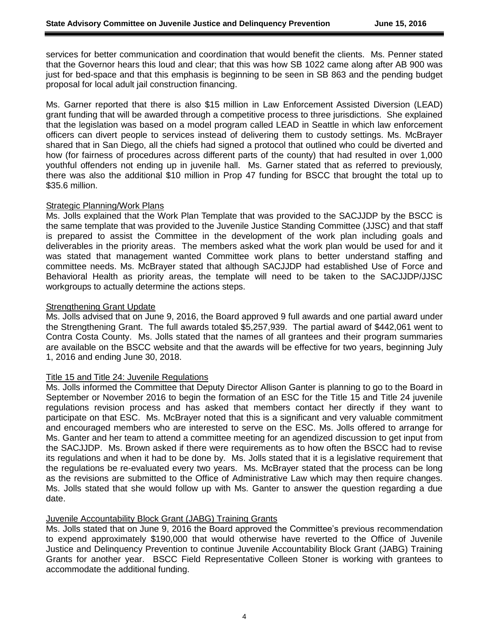services for better communication and coordination that would benefit the clients. Ms. Penner stated that the Governor hears this loud and clear; that this was how SB 1022 came along after AB 900 was just for bed-space and that this emphasis is beginning to be seen in SB 863 and the pending budget proposal for local adult jail construction financing.

Ms. Garner reported that there is also \$15 million in Law Enforcement Assisted Diversion (LEAD) grant funding that will be awarded through a competitive process to three jurisdictions. She explained that the legislation was based on a model program called LEAD in Seattle in which law enforcement officers can divert people to services instead of delivering them to custody settings. Ms. McBrayer shared that in San Diego, all the chiefs had signed a protocol that outlined who could be diverted and how (for fairness of procedures across different parts of the county) that had resulted in over 1,000 youthful offenders not ending up in juvenile hall. Ms. Garner stated that as referred to previously, there was also the additional \$10 million in Prop 47 funding for BSCC that brought the total up to \$35.6 million.

### Strategic Planning/Work Plans

Ms. Jolls explained that the Work Plan Template that was provided to the SACJJDP by the BSCC is the same template that was provided to the Juvenile Justice Standing Committee (JJSC) and that staff is prepared to assist the Committee in the development of the work plan including goals and deliverables in the priority areas. The members asked what the work plan would be used for and it was stated that management wanted Committee work plans to better understand staffing and committee needs. Ms. McBrayer stated that although SACJJDP had established Use of Force and Behavioral Health as priority areas, the template will need to be taken to the SACJJDP/JJSC workgroups to actually determine the actions steps.

#### **Strengthening Grant Update**

Ms. Jolls advised that on June 9, 2016, the Board approved 9 full awards and one partial award under the Strengthening Grant. The full awards totaled \$5,257,939. The partial award of \$442,061 went to Contra Costa County. Ms. Jolls stated that the names of all grantees and their program summaries are available on the BSCC website and that the awards will be effective for two years, beginning July 1, 2016 and ending June 30, 2018.

### Title 15 and Title 24: Juvenile Regulations

Ms. Jolls informed the Committee that Deputy Director Allison Ganter is planning to go to the Board in September or November 2016 to begin the formation of an ESC for the Title 15 and Title 24 juvenile regulations revision process and has asked that members contact her directly if they want to participate on that ESC. Ms. McBrayer noted that this is a significant and very valuable commitment and encouraged members who are interested to serve on the ESC. Ms. Jolls offered to arrange for Ms. Ganter and her team to attend a committee meeting for an agendized discussion to get input from the SACJJDP. Ms. Brown asked if there were requirements as to how often the BSCC had to revise its regulations and when it had to be done by. Ms. Jolls stated that it is a legislative requirement that the regulations be re-evaluated every two years. Ms. McBrayer stated that the process can be long as the revisions are submitted to the Office of Administrative Law which may then require changes. Ms. Jolls stated that she would follow up with Ms. Ganter to answer the question regarding a due date.

### Juvenile Accountability Block Grant (JABG) Training Grants

Ms. Jolls stated that on June 9, 2016 the Board approved the Committee's previous recommendation to expend approximately \$190,000 that would otherwise have reverted to the Office of Juvenile Justice and Delinquency Prevention to continue Juvenile Accountability Block Grant (JABG) Training Grants for another year. BSCC Field Representative Colleen Stoner is working with grantees to accommodate the additional funding.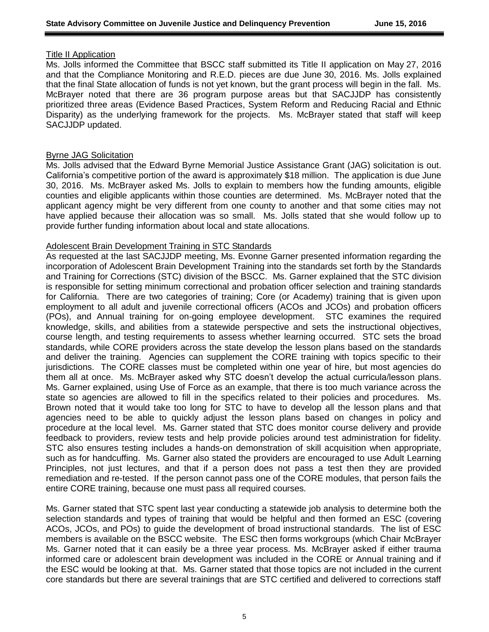#### Title II Application

Ms. Jolls informed the Committee that BSCC staff submitted its Title II application on May 27, 2016 and that the Compliance Monitoring and R.E.D. pieces are due June 30, 2016. Ms. Jolls explained that the final State allocation of funds is not yet known, but the grant process will begin in the fall. Ms. McBrayer noted that there are 36 program purpose areas but that SACJJDP has consistently prioritized three areas (Evidence Based Practices, System Reform and Reducing Racial and Ethnic Disparity) as the underlying framework for the projects. Ms. McBrayer stated that staff will keep SACJJDP updated.

### Byrne JAG Solicitation

Ms. Jolls advised that the Edward Byrne Memorial Justice Assistance Grant (JAG) solicitation is out. California's competitive portion of the award is approximately \$18 million. The application is due June 30, 2016. Ms. McBrayer asked Ms. Jolls to explain to members how the funding amounts, eligible counties and eligible applicants within those counties are determined. Ms. McBrayer noted that the applicant agency might be very different from one county to another and that some cities may not have applied because their allocation was so small. Ms. Jolls stated that she would follow up to provide further funding information about local and state allocations.

### Adolescent Brain Development Training in STC Standards

As requested at the last SACJJDP meeting, Ms. Evonne Garner presented information regarding the incorporation of Adolescent Brain Development Training into the standards set forth by the Standards and Training for Corrections (STC) division of the BSCC. Ms. Garner explained that the STC division is responsible for setting minimum correctional and probation officer selection and training standards for California. There are two categories of training; Core (or Academy) training that is given upon employment to all adult and juvenile correctional officers (ACOs and JCOs) and probation officers (POs), and Annual training for on-going employee development. STC examines the required knowledge, skills, and abilities from a statewide perspective and sets the instructional objectives, course length, and testing requirements to assess whether learning occurred. STC sets the broad standards, while CORE providers across the state develop the lesson plans based on the standards and deliver the training. Agencies can supplement the CORE training with topics specific to their jurisdictions. The CORE classes must be completed within one year of hire, but most agencies do them all at once. Ms. McBrayer asked why STC doesn't develop the actual curricula/lesson plans. Ms. Garner explained, using Use of Force as an example, that there is too much variance across the state so agencies are allowed to fill in the specifics related to their policies and procedures. Ms. Brown noted that it would take too long for STC to have to develop all the lesson plans and that agencies need to be able to quickly adjust the lesson plans based on changes in policy and procedure at the local level. Ms. Garner stated that STC does monitor course delivery and provide feedback to providers, review tests and help provide policies around test administration for fidelity. STC also ensures testing includes a hands-on demonstration of skill acquisition when appropriate, such as for handcuffing. Ms. Garner also stated the providers are encouraged to use Adult Learning Principles, not just lectures, and that if a person does not pass a test then they are provided remediation and re-tested. If the person cannot pass one of the CORE modules, that person fails the entire CORE training, because one must pass all required courses.

Ms. Garner stated that STC spent last year conducting a statewide job analysis to determine both the selection standards and types of training that would be helpful and then formed an ESC (covering ACOs, JCOs, and POs) to guide the development of broad instructional standards. The list of ESC members is available on the BSCC website. The ESC then forms workgroups (which Chair McBrayer Ms. Garner noted that it can easily be a three year process. Ms. McBrayer asked if either trauma informed care or adolescent brain development was included in the CORE or Annual training and if the ESC would be looking at that. Ms. Garner stated that those topics are not included in the current core standards but there are several trainings that are STC certified and delivered to corrections staff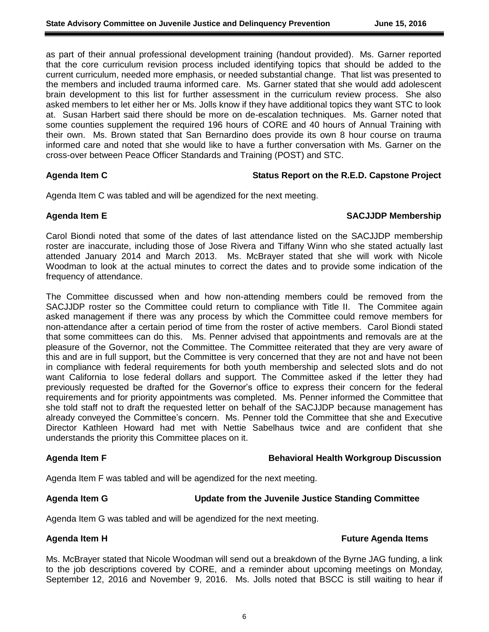as part of their annual professional development training (handout provided). Ms. Garner reported that the core curriculum revision process included identifying topics that should be added to the current curriculum, needed more emphasis, or needed substantial change. That list was presented to the members and included trauma informed care. Ms. Garner stated that she would add adolescent brain development to this list for further assessment in the curriculum review process. She also asked members to let either her or Ms. Jolls know if they have additional topics they want STC to look at. Susan Harbert said there should be more on de-escalation techniques. Ms. Garner noted that some counties supplement the required 196 hours of CORE and 40 hours of Annual Training with their own. Ms. Brown stated that San Bernardino does provide its own 8 hour course on trauma informed care and noted that she would like to have a further conversation with Ms. Garner on the cross-over between Peace Officer Standards and Training (POST) and STC.

### Agenda Item C **Agenda Item C** Status Report on the R.E.D. Capstone Project

Agenda Item C was tabled and will be agendized for the next meeting.

### **Agenda Item E SACJJDP Membership**

Carol Biondi noted that some of the dates of last attendance listed on the SACJJDP membership roster are inaccurate, including those of Jose Rivera and Tiffany Winn who she stated actually last attended January 2014 and March 2013. Ms. McBrayer stated that she will work with Nicole Woodman to look at the actual minutes to correct the dates and to provide some indication of the frequency of attendance.

The Committee discussed when and how non-attending members could be removed from the SACJJDP roster so the Committee could return to compliance with Title II. The Commitee again asked management if there was any process by which the Committee could remove members for non-attendance after a certain period of time from the roster of active members. Carol Biondi stated that some committees can do this. Ms. Penner advised that appointments and removals are at the pleasure of the Governor, not the Committee. The Committee reiterated that they are very aware of this and are in full support, but the Committee is very concerned that they are not and have not been in compliance with federal requirements for both youth membership and selected slots and do not want California to lose federal dollars and support. The Committee asked if the letter they had previously requested be drafted for the Governor's office to express their concern for the federal requirements and for priority appointments was completed. Ms. Penner informed the Committee that she told staff not to draft the requested letter on behalf of the SACJJDP because management has already conveyed the Committee's concern. Ms. Penner told the Committee that she and Executive Director Kathleen Howard had met with Nettie Sabelhaus twice and are confident that she understands the priority this Committee places on it.

### **Agenda Item F Behavioral Health Workgroup Discussion**

Agenda Item F was tabled and will be agendized for the next meeting.

### **Agenda Item G Update from the Juvenile Justice Standing Committee**

Agenda Item G was tabled and will be agendized for the next meeting.

### **Agenda Item H Future Agenda Items**

Ms. McBrayer stated that Nicole Woodman will send out a breakdown of the Byrne JAG funding, a link to the job descriptions covered by CORE, and a reminder about upcoming meetings on Monday, September 12, 2016 and November 9, 2016. Ms. Jolls noted that BSCC is still waiting to hear if